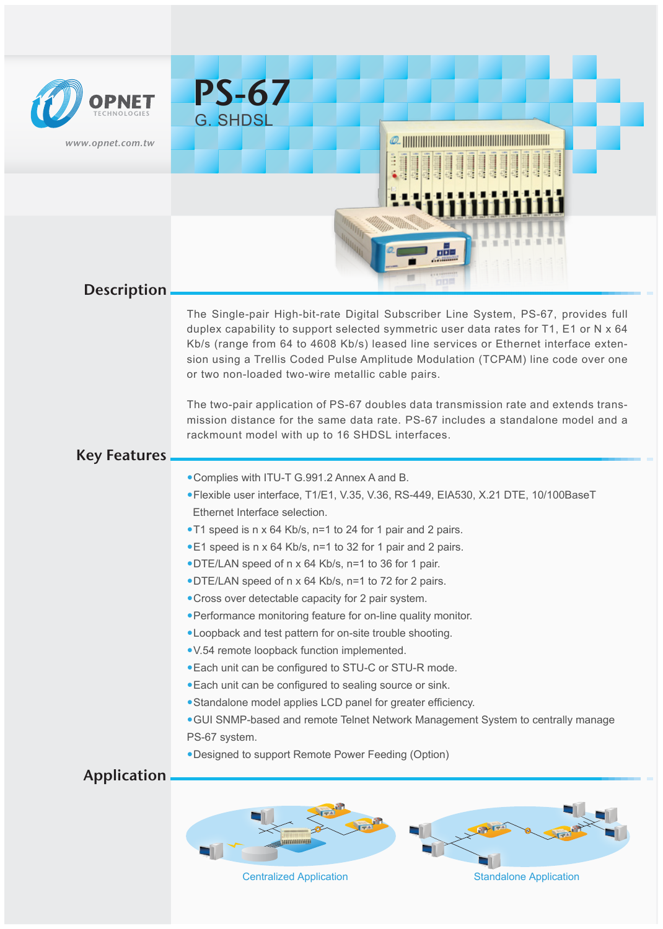